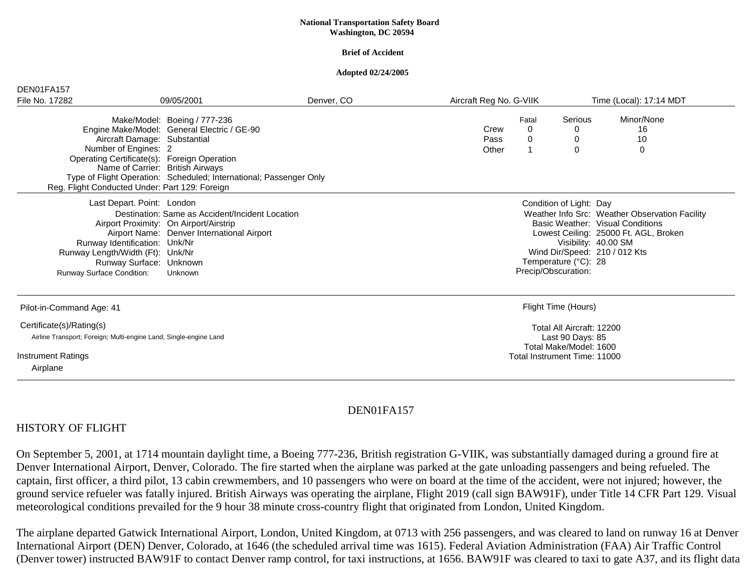#### **National Transportation Safety Board Washington, DC 20594**

#### **Brief of Accident**

#### **Adopted 02/24/2005**

| DEN01FA157                                                                                                                                                                                                                |            |                                                                                                                                                                                                                                                                |                                                                                                         |                         |                             |  |
|---------------------------------------------------------------------------------------------------------------------------------------------------------------------------------------------------------------------------|------------|----------------------------------------------------------------------------------------------------------------------------------------------------------------------------------------------------------------------------------------------------------------|---------------------------------------------------------------------------------------------------------|-------------------------|-----------------------------|--|
| 09/05/2001                                                                                                                                                                                                                | Denver, CO | Aircraft Reg No. G-VIIK                                                                                                                                                                                                                                        |                                                                                                         | Time (Local): 17:14 MDT |                             |  |
| Make/Model: Boeing / 777-236<br>Aircraft Damage: Substantial<br>Number of Engines: 2<br>Operating Certificate(s): Foreign Operation<br>Name of Carrier: British Airways<br>Reg. Flight Conducted Under: Part 129: Foreign |            | Crew<br>Pass<br>Other                                                                                                                                                                                                                                          | Fatal<br>0<br>0                                                                                         | Serious<br>0<br>0<br>0  | Minor/None<br>16<br>10<br>0 |  |
| Last Depart. Point: London<br>Airport Proximity: On Airport/Airstrip<br>Runway Identification: Unk/Nr<br>Runway Length/Width (Ft): Unk/Nr<br>Runway Surface: Unknown<br>Unknown                                           |            | Condition of Light: Day<br>Weather Info Src: Weather Observation Facility<br>Basic Weather: Visual Conditions<br>Lowest Ceiling: 25000 Ft. AGL, Broken<br>Visibility: 40.00 SM<br>Wind Dir/Speed: 210 / 012 Kts<br>Temperature (°C): 28<br>Precip/Obscuration: |                                                                                                         |                         |                             |  |
| Pilot-in-Command Age: 41                                                                                                                                                                                                  |            | Flight Time (Hours)                                                                                                                                                                                                                                            |                                                                                                         |                         |                             |  |
| Certificate(s)/Rating(s)<br>Airline Transport; Foreign; Multi-engine Land; Single-engine Land<br><b>Instrument Ratings</b><br>Airplane                                                                                    |            |                                                                                                                                                                                                                                                                | Total All Aircraft: 12200<br>Last 90 Days: 85<br>Total Make/Model: 1600<br>Total Instrument Time: 11000 |                         |                             |  |
|                                                                                                                                                                                                                           |            | Engine Make/Model: General Electric / GE-90<br>Type of Flight Operation: Scheduled; International; Passenger Only<br>Destination: Same as Accident/Incident Location<br>Airport Name: Denver International Airport                                             |                                                                                                         |                         |                             |  |

## DEN01FA157

#### HISTORY OF FLIGHT

On September 5, 2001, at 1714 mountain daylight time, a Boeing 777-236, British registration G-VIIK, was substantially damaged during a ground fire at Denver International Airport, Denver, Colorado. The fire started when the airplane was parked at the gate unloading passengers and being refueled. The captain, first officer, a third pilot, 13 cabin crewmembers, and 10 passengers who were on board at the time of the accident, were not injured; however, the ground service refueler was fatally injured. British Airways was operating the airplane, Flight 2019 (call sign BAW91F), under Title 14 CFR Part 129. Visual meteorological conditions prevailed for the 9 hour 38 minute cross-country flight that originated from London, United Kingdom.

The airplane departed Gatwick International Airport, London, United Kingdom, at 0713 with 256 passengers, and was cleared to land on runway 16 at Denver International Airport (DEN) Denver, Colorado, at 1646 (the scheduled arrival time was 1615). Federal Aviation Administration (FAA) Air Traffic Control (Denver tower) instructed BAW91F to contact Denver ramp control, for taxi instructions, at 1656. BAW91F was cleared to taxi to gate A37, and its flight data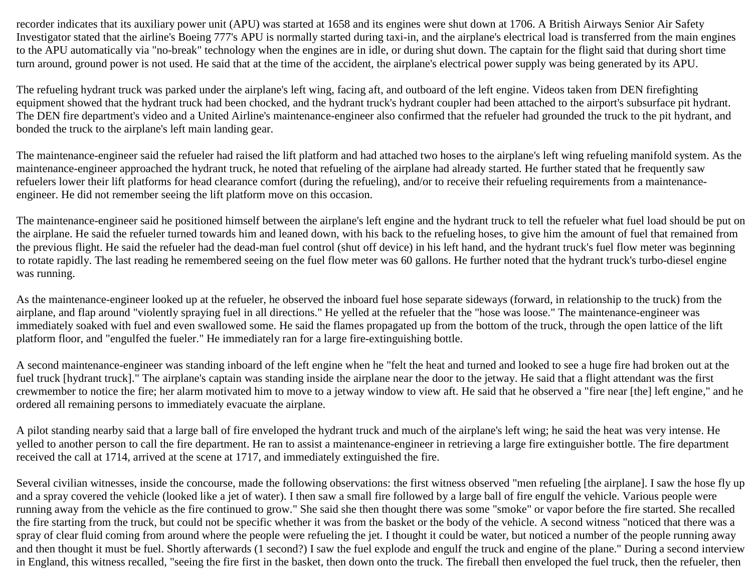recorder indicates that its auxiliary power unit (APU) was started at 1658 and its engines were shut down at 1706. A British Airways Senior Air Safety Investigator stated that the airline's Boeing 777's APU is normally started during taxi-in, and the airplane's electrical load is transferred from the main engines to the APU automatically via "no-break" technology when the engines are in idle, or during shut down. The captain for the flight said that during short time turn around, ground power is not used. He said that at the time of the accident, the airplane's electrical power supply was being generated by its APU.

The refueling hydrant truck was parked under the airplane's left wing, facing aft, and outboard of the left engine. Videos taken from DEN firefighting equipment showed that the hydrant truck had been chocked, and the hydrant truck's hydrant coupler had been attached to the airport's subsurface pit hydrant. The DEN fire department's video and a United Airline's maintenance-engineer also confirmed that the refueler had grounded the truck to the pit hydrant, and bonded the truck to the airplane's left main landing gear.

The maintenance-engineer said the refueler had raised the lift platform and had attached two hoses to the airplane's left wing refueling manifold system. As the maintenance-engineer approached the hydrant truck, he noted that refueling of the airplane had already started. He further stated that he frequently saw refuelers lower their lift platforms for head clearance comfort (during the refueling), and/or to receive their refueling requirements from a maintenanceengineer. He did not remember seeing the lift platform move on this occasion.

The maintenance-engineer said he positioned himself between the airplane's left engine and the hydrant truck to tell the refueler what fuel load should be put on the airplane. He said the refueler turned towards him and leaned down, with his back to the refueling hoses, to give him the amount of fuel that remained from the previous flight. He said the refueler had the dead-man fuel control (shut off device) in his left hand, and the hydrant truck's fuel flow meter was beginning to rotate rapidly. The last reading he remembered seeing on the fuel flow meter was 60 gallons. He further noted that the hydrant truck's turbo-diesel engine was running.

As the maintenance-engineer looked up at the refueler, he observed the inboard fuel hose separate sideways (forward, in relationship to the truck) from the airplane, and flap around "violently spraying fuel in all directions." He yelled at the refueler that the "hose was loose." The maintenance-engineer was immediately soaked with fuel and even swallowed some. He said the flames propagated up from the bottom of the truck, through the open lattice of the lift platform floor, and "engulfed the fueler." He immediately ran for a large fire-extinguishing bottle.

A second maintenance-engineer was standing inboard of the left engine when he "felt the heat and turned and looked to see a huge fire had broken out at the fuel truck [hydrant truck]." The airplane's captain was standing inside the airplane near the door to the jetway. He said that a flight attendant was the first crewmember to notice the fire; her alarm motivated him to move to a jetway window to view aft. He said that he observed a "fire near [the] left engine," and he ordered all remaining persons to immediately evacuate the airplane.

A pilot standing nearby said that a large ball of fire enveloped the hydrant truck and much of the airplane's left wing; he said the heat was very intense. He yelled to another person to call the fire department. He ran to assist a maintenance-engineer in retrieving a large fire extinguisher bottle. The fire department received the call at 1714, arrived at the scene at 1717, and immediately extinguished the fire.

Several civilian witnesses, inside the concourse, made the following observations: the first witness observed "men refueling [the airplane]. I saw the hose fly up and a spray covered the vehicle (looked like a jet of water). I then saw a small fire followed by a large ball of fire engulf the vehicle. Various people were running away from the vehicle as the fire continued to grow." She said she then thought there was some "smoke" or vapor before the fire started. She recalled the fire starting from the truck, but could not be specific whether it was from the basket or the body of the vehicle. A second witness "noticed that there was a spray of clear fluid coming from around where the people were refueling the jet. I thought it could be water, but noticed a number of the people running away and then thought it must be fuel. Shortly afterwards (1 second?) I saw the fuel explode and engulf the truck and engine of the plane." During a second interview in England, this witness recalled, "seeing the fire first in the basket, then down onto the truck. The fireball then enveloped the fuel truck, then the refueler, then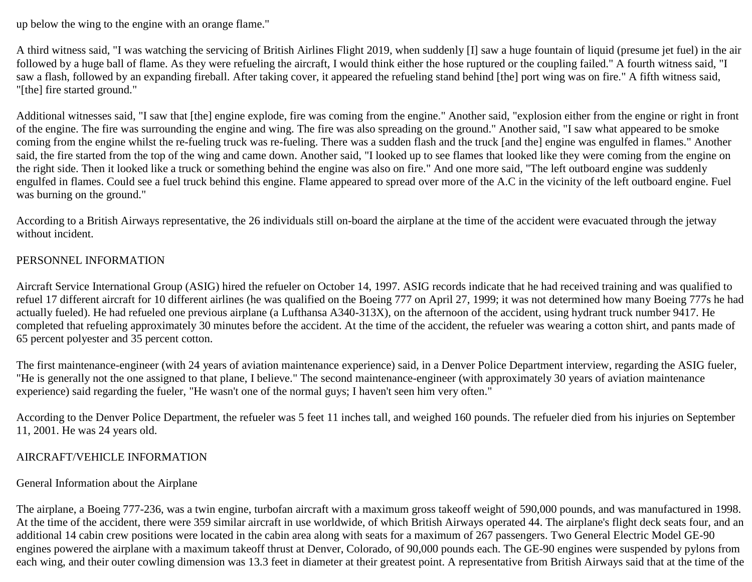up below the wing to the engine with an orange flame."

A third witness said, "I was watching the servicing of British Airlines Flight 2019, when suddenly [I] saw a huge fountain of liquid (presume jet fuel) in the air followed by a huge ball of flame. As they were refueling the aircraft, I would think either the hose ruptured or the coupling failed." A fourth witness said, "I saw a flash, followed by an expanding fireball. After taking cover, it appeared the refueling stand behind [the] port wing was on fire." A fifth witness said, "[the] fire started ground."

Additional witnesses said, "I saw that [the] engine explode, fire was coming from the engine." Another said, "explosion either from the engine or right in front of the engine. The fire was surrounding the engine and wing. The fire was also spreading on the ground." Another said, "I saw what appeared to be smoke coming from the engine whilst the re-fueling truck was re-fueling. There was a sudden flash and the truck [and the] engine was engulfed in flames." Another said, the fire started from the top of the wing and came down. Another said, "I looked up to see flames that looked like they were coming from the engine on the right side. Then it looked like a truck or something behind the engine was also on fire." And one more said, "The left outboard engine was suddenly engulfed in flames. Could see a fuel truck behind this engine. Flame appeared to spread over more of the A.C in the vicinity of the left outboard engine. Fuel was burning on the ground."

According to a British Airways representative, the 26 individuals still on-board the airplane at the time of the accident were evacuated through the jetway without incident.

### PERSONNEL INFORMATION

Aircraft Service International Group (ASIG) hired the refueler on October 14, 1997. ASIG records indicate that he had received training and was qualified to refuel 17 different aircraft for 10 different airlines (he was qualified on the Boeing 777 on April 27, 1999; it was not determined how many Boeing 777s he had actually fueled). He had refueled one previous airplane (a Lufthansa A340-313X), on the afternoon of the accident, using hydrant truck number 9417. He completed that refueling approximately 30 minutes before the accident. At the time of the accident, the refueler was wearing a cotton shirt, and pants made of 65 percent polyester and 35 percent cotton.

The first maintenance-engineer (with 24 years of aviation maintenance experience) said, in a Denver Police Department interview, regarding the ASIG fueler, "He is generally not the one assigned to that plane, I believe." The second maintenance-engineer (with approximately 30 years of aviation maintenance experience) said regarding the fueler, "He wasn't one of the normal guys; I haven't seen him very often."

According to the Denver Police Department, the refueler was 5 feet 11 inches tall, and weighed 160 pounds. The refueler died from his injuries on September 11, 2001. He was 24 years old.

### AIRCRAFT/VEHICLE INFORMATION

#### General Information about the Airplane

The airplane, a Boeing 777-236, was a twin engine, turbofan aircraft with a maximum gross takeoff weight of 590,000 pounds, and was manufactured in 1998. At the time of the accident, there were 359 similar aircraft in use worldwide, of which British Airways operated 44. The airplane's flight deck seats four, and an additional 14 cabin crew positions were located in the cabin area along with seats for a maximum of 267 passengers. Two General Electric Model GE-90 engines powered the airplane with a maximum takeoff thrust at Denver, Colorado, of 90,000 pounds each. The GE-90 engines were suspended by pylons from each wing, and their outer cowling dimension was 13.3 feet in diameter at their greatest point. A representative from British Airways said that at the time of the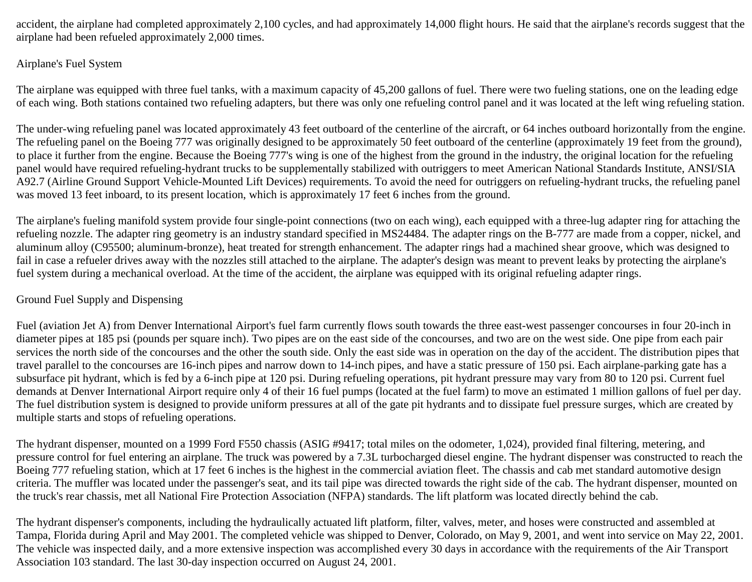accident, the airplane had completed approximately 2,100 cycles, and had approximately 14,000 flight hours. He said that the airplane's records suggest that the airplane had been refueled approximately 2,000 times.

# Airplane's Fuel System

The airplane was equipped with three fuel tanks, with a maximum capacity of 45,200 gallons of fuel. There were two fueling stations, one on the leading edge of each wing. Both stations contained two refueling adapters, but there was only one refueling control panel and it was located at the left wing refueling station.

The under-wing refueling panel was located approximately 43 feet outboard of the centerline of the aircraft, or 64 inches outboard horizontally from the engine. The refueling panel on the Boeing 777 was originally designed to be approximately 50 feet outboard of the centerline (approximately 19 feet from the ground), to place it further from the engine. Because the Boeing 777's wing is one of the highest from the ground in the industry, the original location for the refueling panel would have required refueling-hydrant trucks to be supplementally stabilized with outriggers to meet American National Standards Institute, ANSI/SIA A92.7 (Airline Ground Support Vehicle-Mounted Lift Devices) requirements. To avoid the need for outriggers on refueling-hydrant trucks, the refueling panel was moved 13 feet inboard, to its present location, which is approximately 17 feet 6 inches from the ground.

The airplane's fueling manifold system provide four single-point connections (two on each wing), each equipped with a three-lug adapter ring for attaching the refueling nozzle. The adapter ring geometry is an industry standard specified in MS24484. The adapter rings on the B-777 are made from a copper, nickel, and aluminum alloy (C95500; aluminum-bronze), heat treated for strength enhancement. The adapter rings had a machined shear groove, which was designed to fail in case a refueler drives away with the nozzles still attached to the airplane. The adapter's design was meant to prevent leaks by protecting the airplane's fuel system during a mechanical overload. At the time of the accident, the airplane was equipped with its original refueling adapter rings.

# Ground Fuel Supply and Dispensing

Fuel (aviation Jet A) from Denver International Airport's fuel farm currently flows south towards the three east-west passenger concourses in four 20-inch in diameter pipes at 185 psi (pounds per square inch). Two pipes are on the east side of the concourses, and two are on the west side. One pipe from each pair services the north side of the concourses and the other the south side. Only the east side was in operation on the day of the accident. The distribution pipes that travel parallel to the concourses are 16-inch pipes and narrow down to 14-inch pipes, and have a static pressure of 150 psi. Each airplane-parking gate has a subsurface pit hydrant, which is fed by a 6-inch pipe at 120 psi. During refueling operations, pit hydrant pressure may vary from 80 to 120 psi. Current fuel demands at Denver International Airport require only 4 of their 16 fuel pumps (located at the fuel farm) to move an estimated 1 million gallons of fuel per day. The fuel distribution system is designed to provide uniform pressures at all of the gate pit hydrants and to dissipate fuel pressure surges, which are created by multiple starts and stops of refueling operations.

The hydrant dispenser, mounted on a 1999 Ford F550 chassis (ASIG #9417; total miles on the odometer, 1,024), provided final filtering, metering, and pressure control for fuel entering an airplane. The truck was powered by a 7.3L turbocharged diesel engine. The hydrant dispenser was constructed to reach the Boeing 777 refueling station, which at 17 feet 6 inches is the highest in the commercial aviation fleet. The chassis and cab met standard automotive design criteria. The muffler was located under the passenger's seat, and its tail pipe was directed towards the right side of the cab. The hydrant dispenser, mounted on the truck's rear chassis, met all National Fire Protection Association (NFPA) standards. The lift platform was located directly behind the cab.

The hydrant dispenser's components, including the hydraulically actuated lift platform, filter, valves, meter, and hoses were constructed and assembled at Tampa, Florida during April and May 2001. The completed vehicle was shipped to Denver, Colorado, on May 9, 2001, and went into service on May 22, 2001. The vehicle was inspected daily, and a more extensive inspection was accomplished every 30 days in accordance with the requirements of the Air Transport Association 103 standard. The last 30-day inspection occurred on August 24, 2001.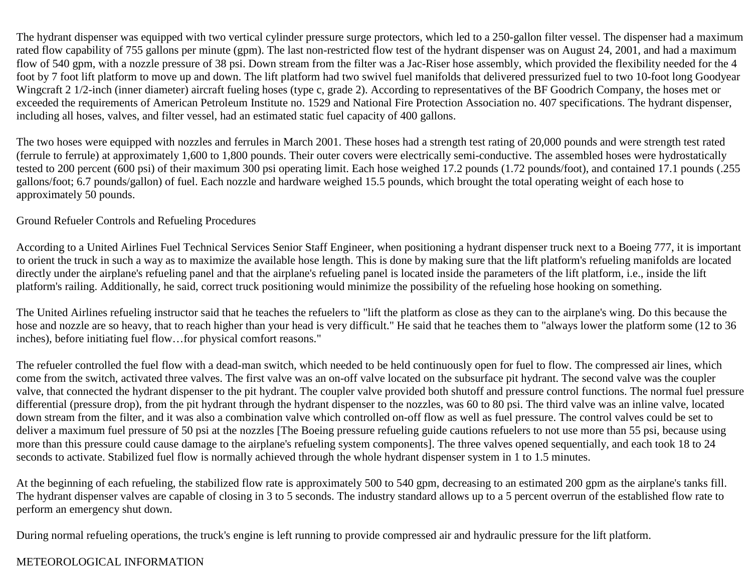The hydrant dispenser was equipped with two vertical cylinder pressure surge protectors, which led to a 250-gallon filter vessel. The dispenser had a maximum rated flow capability of 755 gallons per minute (gpm). The last non-restricted flow test of the hydrant dispenser was on August 24, 2001, and had a maximum flow of 540 gpm, with a nozzle pressure of 38 psi. Down stream from the filter was a Jac-Riser hose assembly, which provided the flexibility needed for the 4 foot by 7 foot lift platform to move up and down. The lift platform had two swivel fuel manifolds that delivered pressurized fuel to two 10-foot long Goodyear Wingcraft 2 1/2-inch (inner diameter) aircraft fueling hoses (type c, grade 2). According to representatives of the BF Goodrich Company, the hoses met or exceeded the requirements of American Petroleum Institute no. 1529 and National Fire Protection Association no. 407 specifications. The hydrant dispenser, including all hoses, valves, and filter vessel, had an estimated static fuel capacity of 400 gallons.

The two hoses were equipped with nozzles and ferrules in March 2001. These hoses had a strength test rating of 20,000 pounds and were strength test rated (ferrule to ferrule) at approximately 1,600 to 1,800 pounds. Their outer covers were electrically semi-conductive. The assembled hoses were hydrostatically tested to 200 percent (600 psi) of their maximum 300 psi operating limit. Each hose weighed 17.2 pounds (1.72 pounds/foot), and contained 17.1 pounds (.255 gallons/foot; 6.7 pounds/gallon) of fuel. Each nozzle and hardware weighed 15.5 pounds, which brought the total operating weight of each hose to approximately 50 pounds.

#### Ground Refueler Controls and Refueling Procedures

According to a United Airlines Fuel Technical Services Senior Staff Engineer, when positioning a hydrant dispenser truck next to a Boeing 777, it is important to orient the truck in such a way as to maximize the available hose length. This is done by making sure that the lift platform's refueling manifolds are located directly under the airplane's refueling panel and that the airplane's refueling panel is located inside the parameters of the lift platform, i.e., inside the lift platform's railing. Additionally, he said, correct truck positioning would minimize the possibility of the refueling hose hooking on something.

The United Airlines refueling instructor said that he teaches the refuelers to "lift the platform as close as they can to the airplane's wing. Do this because the hose and nozzle are so heavy, that to reach higher than your head is very difficult." He said that he teaches them to "always lower the platform some (12 to 36 inches), before initiating fuel flow…for physical comfort reasons."

The refueler controlled the fuel flow with a dead-man switch, which needed to be held continuously open for fuel to flow. The compressed air lines, which come from the switch, activated three valves. The first valve was an on-off valve located on the subsurface pit hydrant. The second valve was the coupler valve, that connected the hydrant dispenser to the pit hydrant. The coupler valve provided both shutoff and pressure control functions. The normal fuel pressure differential (pressure drop), from the pit hydrant through the hydrant dispenser to the nozzles, was 60 to 80 psi. The third valve was an inline valve, located down stream from the filter, and it was also a combination valve which controlled on-off flow as well as fuel pressure. The control valves could be set to deliver a maximum fuel pressure of 50 psi at the nozzles [The Boeing pressure refueling guide cautions refuelers to not use more than 55 psi, because using more than this pressure could cause damage to the airplane's refueling system components]. The three valves opened sequentially, and each took 18 to 24 seconds to activate. Stabilized fuel flow is normally achieved through the whole hydrant dispenser system in 1 to 1.5 minutes.

At the beginning of each refueling, the stabilized flow rate is approximately 500 to 540 gpm, decreasing to an estimated 200 gpm as the airplane's tanks fill. The hydrant dispenser valves are capable of closing in 3 to 5 seconds. The industry standard allows up to a 5 percent overrun of the established flow rate to perform an emergency shut down.

During normal refueling operations, the truck's engine is left running to provide compressed air and hydraulic pressure for the lift platform.

# METEOROLOGICAL INFORMATION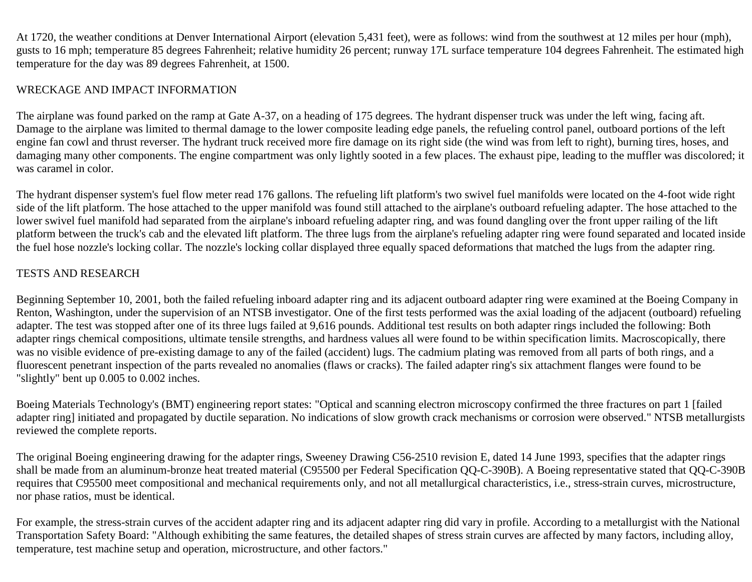At 1720, the weather conditions at Denver International Airport (elevation 5,431 feet), were as follows: wind from the southwest at 12 miles per hour (mph), gusts to 16 mph; temperature 85 degrees Fahrenheit; relative humidity 26 percent; runway 17L surface temperature 104 degrees Fahrenheit. The estimated high temperature for the day was 89 degrees Fahrenheit, at 1500.

## WRECKAGE AND IMPACT INFORMATION

The airplane was found parked on the ramp at Gate A-37, on a heading of 175 degrees. The hydrant dispenser truck was under the left wing, facing aft. Damage to the airplane was limited to thermal damage to the lower composite leading edge panels, the refueling control panel, outboard portions of the left engine fan cowl and thrust reverser. The hydrant truck received more fire damage on its right side (the wind was from left to right), burning tires, hoses, and damaging many other components. The engine compartment was only lightly sooted in a few places. The exhaust pipe, leading to the muffler was discolored; it was caramel in color.

The hydrant dispenser system's fuel flow meter read 176 gallons. The refueling lift platform's two swivel fuel manifolds were located on the 4-foot wide right side of the lift platform. The hose attached to the upper manifold was found still attached to the airplane's outboard refueling adapter. The hose attached to the lower swivel fuel manifold had separated from the airplane's inboard refueling adapter ring, and was found dangling over the front upper railing of the lift platform between the truck's cab and the elevated lift platform. The three lugs from the airplane's refueling adapter ring were found separated and located inside the fuel hose nozzle's locking collar. The nozzle's locking collar displayed three equally spaced deformations that matched the lugs from the adapter ring.

# TESTS AND RESEARCH

Beginning September 10, 2001, both the failed refueling inboard adapter ring and its adjacent outboard adapter ring were examined at the Boeing Company in Renton, Washington, under the supervision of an NTSB investigator. One of the first tests performed was the axial loading of the adjacent (outboard) refueling adapter. The test was stopped after one of its three lugs failed at 9,616 pounds. Additional test results on both adapter rings included the following: Both adapter rings chemical compositions, ultimate tensile strengths, and hardness values all were found to be within specification limits. Macroscopically, there was no visible evidence of pre-existing damage to any of the failed (accident) lugs. The cadmium plating was removed from all parts of both rings, and a fluorescent penetrant inspection of the parts revealed no anomalies (flaws or cracks). The failed adapter ring's six attachment flanges were found to be "slightly" bent up 0.005 to 0.002 inches.

Boeing Materials Technology's (BMT) engineering report states: "Optical and scanning electron microscopy confirmed the three fractures on part 1 [failed adapter ring] initiated and propagated by ductile separation. No indications of slow growth crack mechanisms or corrosion were observed." NTSB metallurgists reviewed the complete reports.

The original Boeing engineering drawing for the adapter rings, Sweeney Drawing C56-2510 revision E, dated 14 June 1993, specifies that the adapter rings shall be made from an aluminum-bronze heat treated material (C95500 per Federal Specification QQ-C-390B). A Boeing representative stated that QQ-C-390B requires that C95500 meet compositional and mechanical requirements only, and not all metallurgical characteristics, i.e., stress-strain curves, microstructure, nor phase ratios, must be identical.

For example, the stress-strain curves of the accident adapter ring and its adjacent adapter ring did vary in profile. According to a metallurgist with the National Transportation Safety Board: "Although exhibiting the same features, the detailed shapes of stress strain curves are affected by many factors, including alloy, temperature, test machine setup and operation, microstructure, and other factors."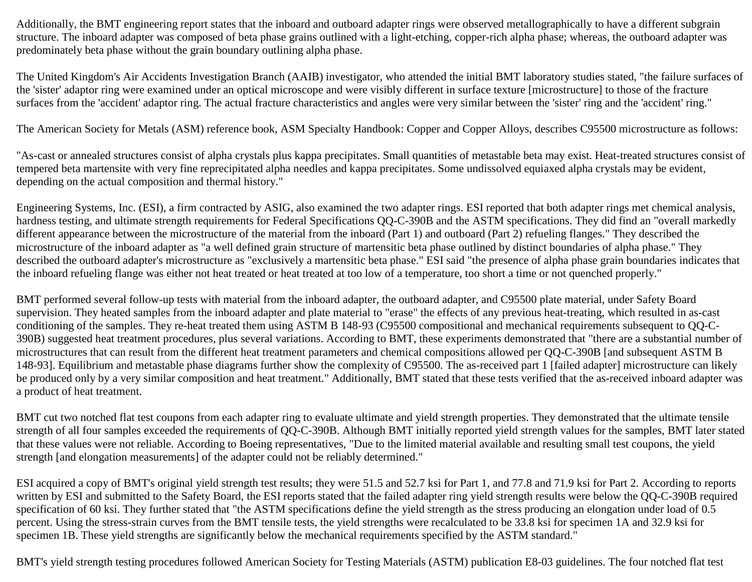Additionally, the BMT engineering report states that the inboard and outboard adapter rings were observed metallographically to have a different subgrain structure. The inboard adapter was composed of beta phase grains outlined with a light-etching, copper-rich alpha phase; whereas, the outboard adapter was predominately beta phase without the grain boundary outlining alpha phase.

The United Kingdom's Air Accidents Investigation Branch (AAIB) investigator, who attended the initial BMT laboratory studies stated, "the failure surfaces of the 'sister' adaptor ring were examined under an optical microscope and were visibly different in surface texture [microstructure] to those of the fracture surfaces from the 'accident' adaptor ring. The actual fracture characteristics and angles were very similar between the 'sister' ring and the 'accident' ring."

The American Society for Metals (ASM) reference book, ASM Specialty Handbook: Copper and Copper Alloys, describes C95500 microstructure as follows:

"As-cast or annealed structures consist of alpha crystals plus kappa precipitates. Small quantities of metastable beta may exist. Heat-treated structures consist of tempered beta martensite with very fine reprecipitated alpha needles and kappa precipitates. Some undissolved equiaxed alpha crystals may be evident, depending on the actual composition and thermal history."

Engineering Systems, Inc. (ESI), a firm contracted by ASIG, also examined the two adapter rings. ESI reported that both adapter rings met chemical analysis, hardness testing, and ultimate strength requirements for Federal Specifications QQ-C-390B and the ASTM specifications. They did find an "overall markedly different appearance between the microstructure of the material from the inboard (Part 1) and outboard (Part 2) refueling flanges." They described the microstructure of the inboard adapter as "a well defined grain structure of martensitic beta phase outlined by distinct boundaries of alpha phase." They described the outboard adapter's microstructure as "exclusively a martensitic beta phase." ESI said "the presence of alpha phase grain boundaries indicates that the inboard refueling flange was either not heat treated or heat treated at too low of a temperature, too short a time or not quenched properly."

BMT performed several follow-up tests with material from the inboard adapter, the outboard adapter, and C95500 plate material, under Safety Board supervision. They heated samples from the inboard adapter and plate material to "erase" the effects of any previous heat-treating, which resulted in as-cast conditioning of the samples. They re-heat treated them using ASTM B 148-93 (C95500 compositional and mechanical requirements subsequent to QQ-C-390B) suggested heat treatment procedures, plus several variations. According to BMT, these experiments demonstrated that "there are a substantial number of microstructures that can result from the different heat treatment parameters and chemical compositions allowed per QQ-C-390B [and subsequent ASTM B 148-93]. Equilibrium and metastable phase diagrams further show the complexity of C95500. The as-received part 1 [failed adapter] microstructure can likely be produced only by a very similar composition and heat treatment." Additionally, BMT stated that these tests verified that the as-received inboard adapter was a product of heat treatment.

BMT cut two notched flat test coupons from each adapter ring to evaluate ultimate and yield strength properties. They demonstrated that the ultimate tensile strength of all four samples exceeded the requirements of QQ-C-390B. Although BMT initially reported yield strength values for the samples, BMT later stated that these values were not reliable. According to Boeing representatives, "Due to the limited material available and resulting small test coupons, the yield strength [and elongation measurements] of the adapter could not be reliably determined."

ESI acquired a copy of BMT's original yield strength test results; they were 51.5 and 52.7 ksi for Part 1, and 77.8 and 71.9 ksi for Part 2. According to reports written by ESI and submitted to the Safety Board, the ESI reports stated that the failed adapter ring yield strength results were below the QQ-C-390B required specification of 60 ksi. They further stated that "the ASTM specifications define the yield strength as the stress producing an elongation under load of 0.5 percent. Using the stress-strain curves from the BMT tensile tests, the yield strengths were recalculated to be 33.8 ksi for specimen 1A and 32.9 ksi for specimen 1B. These yield strengths are significantly below the mechanical requirements specified by the ASTM standard."

BMT's yield strength testing procedures followed American Society for Testing Materials (ASTM) publication E8-03 guidelines. The four notched flat test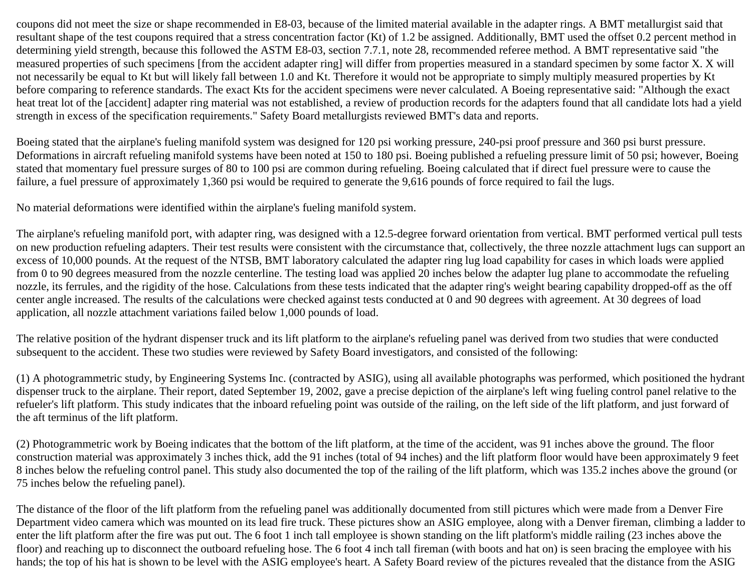coupons did not meet the size or shape recommended in E8-03, because of the limited material available in the adapter rings. A BMT metallurgist said that resultant shape of the test coupons required that a stress concentration factor (Kt) of 1.2 be assigned. Additionally, BMT used the offset 0.2 percent method in determining yield strength, because this followed the ASTM E8-03, section 7.7.1, note 28, recommended referee method. A BMT representative said "the measured properties of such specimens [from the accident adapter ring] will differ from properties measured in a standard specimen by some factor X. X will not necessarily be equal to Kt but will likely fall between 1.0 and Kt. Therefore it would not be appropriate to simply multiply measured properties by Kt before comparing to reference standards. The exact Kts for the accident specimens were never calculated. A Boeing representative said: "Although the exact heat treat lot of the [accident] adapter ring material was not established, a review of production records for the adapters found that all candidate lots had a yield strength in excess of the specification requirements." Safety Board metallurgists reviewed BMT's data and reports.

Boeing stated that the airplane's fueling manifold system was designed for 120 psi working pressure, 240-psi proof pressure and 360 psi burst pressure. Deformations in aircraft refueling manifold systems have been noted at 150 to 180 psi. Boeing published a refueling pressure limit of 50 psi; however, Boeing stated that momentary fuel pressure surges of 80 to 100 psi are common during refueling. Boeing calculated that if direct fuel pressure were to cause the failure, a fuel pressure of approximately 1,360 psi would be required to generate the 9,616 pounds of force required to fail the lugs.

No material deformations were identified within the airplane's fueling manifold system.

The airplane's refueling manifold port, with adapter ring, was designed with a 12.5-degree forward orientation from vertical. BMT performed vertical pull tests on new production refueling adapters. Their test results were consistent with the circumstance that, collectively, the three nozzle attachment lugs can support an excess of 10,000 pounds. At the request of the NTSB, BMT laboratory calculated the adapter ring lug load capability for cases in which loads were applied from 0 to 90 degrees measured from the nozzle centerline. The testing load was applied 20 inches below the adapter lug plane to accommodate the refueling nozzle, its ferrules, and the rigidity of the hose. Calculations from these tests indicated that the adapter ring's weight bearing capability dropped-off as the off center angle increased. The results of the calculations were checked against tests conducted at 0 and 90 degrees with agreement. At 30 degrees of load application, all nozzle attachment variations failed below 1,000 pounds of load.

The relative position of the hydrant dispenser truck and its lift platform to the airplane's refueling panel was derived from two studies that were conducted subsequent to the accident. These two studies were reviewed by Safety Board investigators, and consisted of the following:

(1) A photogrammetric study, by Engineering Systems Inc. (contracted by ASIG), using all available photographs was performed, which positioned the hydrant dispenser truck to the airplane. Their report, dated September 19, 2002, gave a precise depiction of the airplane's left wing fueling control panel relative to the refueler's lift platform. This study indicates that the inboard refueling point was outside of the railing, on the left side of the lift platform, and just forward of the aft terminus of the lift platform.

(2) Photogrammetric work by Boeing indicates that the bottom of the lift platform, at the time of the accident, was 91 inches above the ground. The floor construction material was approximately 3 inches thick, add the 91 inches (total of 94 inches) and the lift platform floor would have been approximately 9 feet 8 inches below the refueling control panel. This study also documented the top of the railing of the lift platform, which was 135.2 inches above the ground (or 75 inches below the refueling panel).

The distance of the floor of the lift platform from the refueling panel was additionally documented from still pictures which were made from a Denver Fire Department video camera which was mounted on its lead fire truck. These pictures show an ASIG employee, along with a Denver fireman, climbing a ladder to enter the lift platform after the fire was put out. The 6 foot 1 inch tall employee is shown standing on the lift platform's middle railing (23 inches above the floor) and reaching up to disconnect the outboard refueling hose. The 6 foot 4 inch tall fireman (with boots and hat on) is seen bracing the employee with his hands; the top of his hat is shown to be level with the ASIG employee's heart. A Safety Board review of the pictures revealed that the distance from the ASIG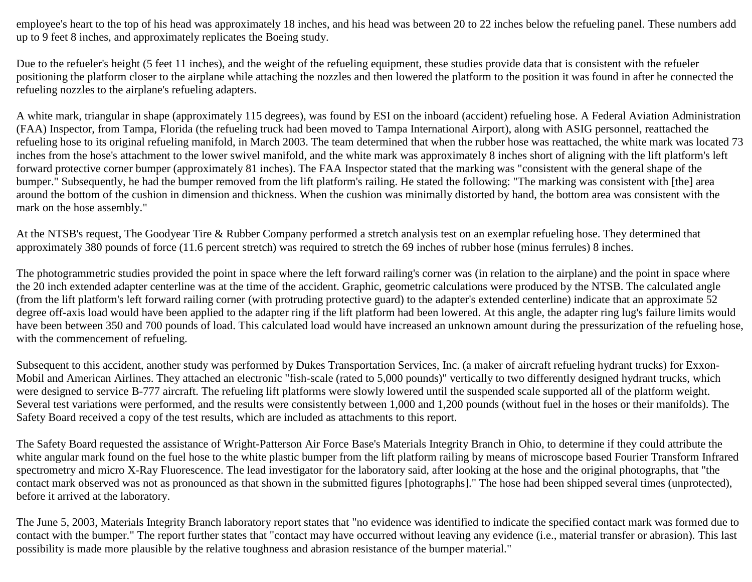employee's heart to the top of his head was approximately 18 inches, and his head was between 20 to 22 inches below the refueling panel. These numbers add up to 9 feet 8 inches, and approximately replicates the Boeing study.

Due to the refueler's height (5 feet 11 inches), and the weight of the refueling equipment, these studies provide data that is consistent with the refueler positioning the platform closer to the airplane while attaching the nozzles and then lowered the platform to the position it was found in after he connected the refueling nozzles to the airplane's refueling adapters.

A white mark, triangular in shape (approximately 115 degrees), was found by ESI on the inboard (accident) refueling hose. A Federal Aviation Administration (FAA) Inspector, from Tampa, Florida (the refueling truck had been moved to Tampa International Airport), along with ASIG personnel, reattached the refueling hose to its original refueling manifold, in March 2003. The team determined that when the rubber hose was reattached, the white mark was located 73 inches from the hose's attachment to the lower swivel manifold, and the white mark was approximately 8 inches short of aligning with the lift platform's left forward protective corner bumper (approximately 81 inches). The FAA Inspector stated that the marking was "consistent with the general shape of the bumper." Subsequently, he had the bumper removed from the lift platform's railing. He stated the following: "The marking was consistent with [the] area around the bottom of the cushion in dimension and thickness. When the cushion was minimally distorted by hand, the bottom area was consistent with the mark on the hose assembly."

At the NTSB's request, The Goodyear Tire & Rubber Company performed a stretch analysis test on an exemplar refueling hose. They determined that approximately 380 pounds of force (11.6 percent stretch) was required to stretch the 69 inches of rubber hose (minus ferrules) 8 inches.

The photogrammetric studies provided the point in space where the left forward railing's corner was (in relation to the airplane) and the point in space where the 20 inch extended adapter centerline was at the time of the accident. Graphic, geometric calculations were produced by the NTSB. The calculated angle (from the lift platform's left forward railing corner (with protruding protective guard) to the adapter's extended centerline) indicate that an approximate 52 degree off-axis load would have been applied to the adapter ring if the lift platform had been lowered. At this angle, the adapter ring lug's failure limits would have been between 350 and 700 pounds of load. This calculated load would have increased an unknown amount during the pressurization of the refueling hose, with the commencement of refueling.

Subsequent to this accident, another study was performed by Dukes Transportation Services, Inc. (a maker of aircraft refueling hydrant trucks) for Exxon-Mobil and American Airlines. They attached an electronic "fish-scale (rated to 5,000 pounds)" vertically to two differently designed hydrant trucks, which were designed to service B-777 aircraft. The refueling lift platforms were slowly lowered until the suspended scale supported all of the platform weight. Several test variations were performed, and the results were consistently between 1,000 and 1,200 pounds (without fuel in the hoses or their manifolds). The Safety Board received a copy of the test results, which are included as attachments to this report.

The Safety Board requested the assistance of Wright-Patterson Air Force Base's Materials Integrity Branch in Ohio, to determine if they could attribute the white angular mark found on the fuel hose to the white plastic bumper from the lift platform railing by means of microscope based Fourier Transform Infrared spectrometry and micro X-Ray Fluorescence. The lead investigator for the laboratory said, after looking at the hose and the original photographs, that "the contact mark observed was not as pronounced as that shown in the submitted figures [photographs]." The hose had been shipped several times (unprotected), before it arrived at the laboratory.

The June 5, 2003, Materials Integrity Branch laboratory report states that "no evidence was identified to indicate the specified contact mark was formed due to contact with the bumper." The report further states that "contact may have occurred without leaving any evidence (i.e., material transfer or abrasion). This last possibility is made more plausible by the relative toughness and abrasion resistance of the bumper material."